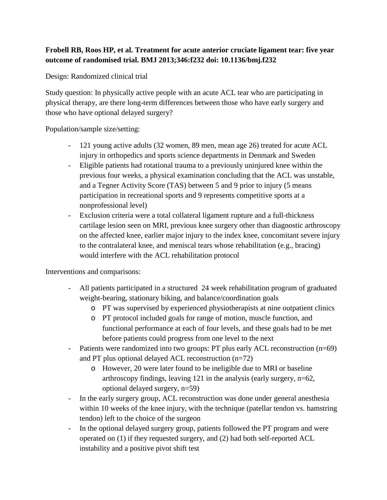## **Frobell RB, Roos HP, et al. Treatment for acute anterior cruciate ligament tear: five year outcome of randomised trial. BMJ 2013;346:f232 doi: 10.1136/bmj.f232**

Design: Randomized clinical trial

Study question: In physically active people with an acute ACL tear who are participating in physical therapy, are there long-term differences between those who have early surgery and those who have optional delayed surgery?

Population/sample size/setting:

- 121 young active adults (32 women, 89 men, mean age 26) treated for acute ACL injury in orthopedics and sports science departments in Denmark and Sweden
- Eligible patients had rotational trauma to a previously uninjured knee within the previous four weeks, a physical examination concluding that the ACL was unstable, and a Tegner Activity Score (TAS) between 5 and 9 prior to injury (5 means participation in recreational sports and 9 represents competitive sports at a nonprofessional level)
- Exclusion criteria were a total collateral ligament rupture and a full-thickness cartilage lesion seen on MRI, previous knee surgery other than diagnostic arthroscopy on the affected knee, earlier major injury to the index knee, concomitant severe injury to the contralateral knee, and meniscal tears whose rehabilitation (e.g., bracing) would interfere with the ACL rehabilitation protocol

Interventions and comparisons:

- All patients participated in a structured 24 week rehabilitation program of graduated weight-bearing, stationary biking, and balance/coordination goals
	- o PT was supervised by experienced physiotherapists at nine outpatient clinics
	- o PT protocol included goals for range of motion, muscle function, and functional performance at each of four levels, and these goals had to be met before patients could progress from one level to the next
- Patients were randomized into two groups: PT plus early ACL reconstruction (n=69) and PT plus optional delayed ACL reconstruction (n=72)
	- o However, 20 were later found to be ineligible due to MRI or baseline arthroscopy findings, leaving 121 in the analysis (early surgery, n=62, optional delayed surgery, n=59)
- In the early surgery group, ACL reconstruction was done under general anesthesia within 10 weeks of the knee injury, with the technique (patellar tendon vs. hamstring tendon) left to the choice of the surgeon
- In the optional delayed surgery group, patients followed the PT program and were operated on (1) if they requested surgery, and (2) had both self-reported ACL instability and a positive pivot shift test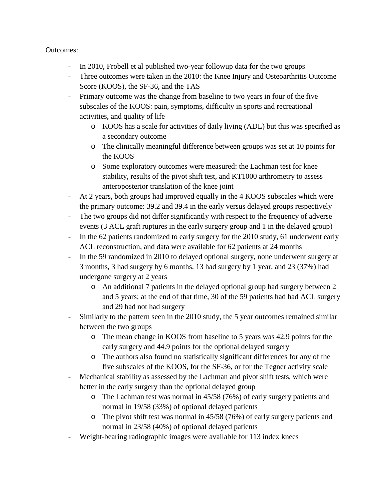## Outcomes:

- In 2010, Frobell et al published two-year followup data for the two groups
- Three outcomes were taken in the 2010: the Knee Injury and Osteoarthritis Outcome Score (KOOS), the SF-36, and the TAS
- Primary outcome was the change from baseline to two years in four of the five subscales of the KOOS: pain, symptoms, difficulty in sports and recreational activities, and quality of life
	- o KOOS has a scale for activities of daily living (ADL) but this was specified as a secondary outcome
	- o The clinically meaningful difference between groups was set at 10 points for the KOOS
	- o Some exploratory outcomes were measured: the Lachman test for knee stability, results of the pivot shift test, and KT1000 arthrometry to assess anteroposterior translation of the knee joint
- At 2 years, both groups had improved equally in the 4 KOOS subscales which were the primary outcome: 39.2 and 39.4 in the early versus delayed groups respectively
- The two groups did not differ significantly with respect to the frequency of adverse events (3 ACL graft ruptures in the early surgery group and 1 in the delayed group)
- In the 62 patients randomized to early surgery for the 2010 study, 61 underwent early ACL reconstruction, and data were available for 62 patients at 24 months
- In the 59 randomized in 2010 to delayed optional surgery, none underwent surgery at 3 months, 3 had surgery by 6 months, 13 had surgery by 1 year, and 23 (37%) had undergone surgery at 2 years
	- o An additional 7 patients in the delayed optional group had surgery between 2 and 5 years; at the end of that time, 30 of the 59 patients had had ACL surgery and 29 had not had surgery
- Similarly to the pattern seen in the 2010 study, the 5 year outcomes remained similar between the two groups
	- o The mean change in KOOS from baseline to 5 years was 42.9 points for the early surgery and 44.9 points for the optional delayed surgery
	- o The authors also found no statistically significant differences for any of the five subscales of the KOOS, for the SF-36, or for the Tegner activity scale
- Mechanical stability as assessed by the Lachman and pivot shift tests, which were better in the early surgery than the optional delayed group
	- o The Lachman test was normal in 45/58 (76%) of early surgery patients and normal in 19/58 (33%) of optional delayed patients
	- o The pivot shift test was normal in 45/58 (76%) of early surgery patients and normal in 23/58 (40%) of optional delayed patients
- Weight-bearing radiographic images were available for 113 index knees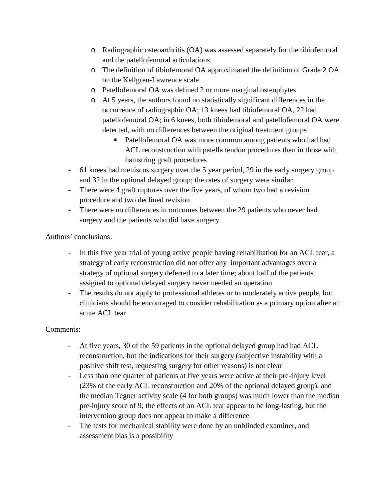- o Radiographic osteoarthritis (OA) was assessed separately for the tibiofemoral and the patellofemoral articulations
- o The definition of tibiofemoral OA approximated the definition of Grade 2 OA on the Kellgren-Lawrence scale
- o Patellofemoral OA was defined 2 or more marginal osteophytes
- o At 5 years, the authors found no statistically significant differences in the occurrence of radiographic OA; 13 knees had tibiofemoral OA, 22 had patellofemoral OA; in 6 knees, both tibiofemoral and patellofemoral OA were detected, with no differences between the original treatment groups
	- Patellofemoral OA was more common among patients who had had ACL reconstruction with patella tendon procedures than in those with hamstring graft procedures
- 61 knees had meniscus surgery over the 5 year period, 29 in the early surgery group and 32 in the optional delayed group; the rates of surgery were similar
- There were 4 graft ruptures over the five years, of whom two had a revision procedure and two declined revision
- There were no differences in outcomes between the 29 patients who never had surgery and the patients who did have surgery

Authors' conclusions:

- In this five year trial of young active people having rehabilitation for an ACL tear, a strategy of early reconstruction did not offer any important advantages over a strategy of optional surgery deferred to a later time; about half of the patients assigned to optional delayed surgery never needed an operation
- The results do not apply to professional athletes or to moderately active people, but clinicians should be encouraged to consider rehabilitation as a primary option after an acute ACL tear

## Comments:

- At five years, 30 of the 59 patients in the optional delayed group had had ACL reconstruction, but the indications for their surgery (subjective instability with a positive shift test, requesting surgery for other reasons) is not clear
- Less than one quarter of patients at five years were active at their pre-injury level (23% of the early ACL reconstruction and 20% of the optional delayed group), and the median Tegner activity scale (4 for both groups) was much lower than the median pre-injury score of 9; the effects of an ACL tear appear to be long-lasting, but the intervention group does not appear to make a difference
- The tests for mechanical stability were done by an unblinded examiner, and assessment bias is a possibility